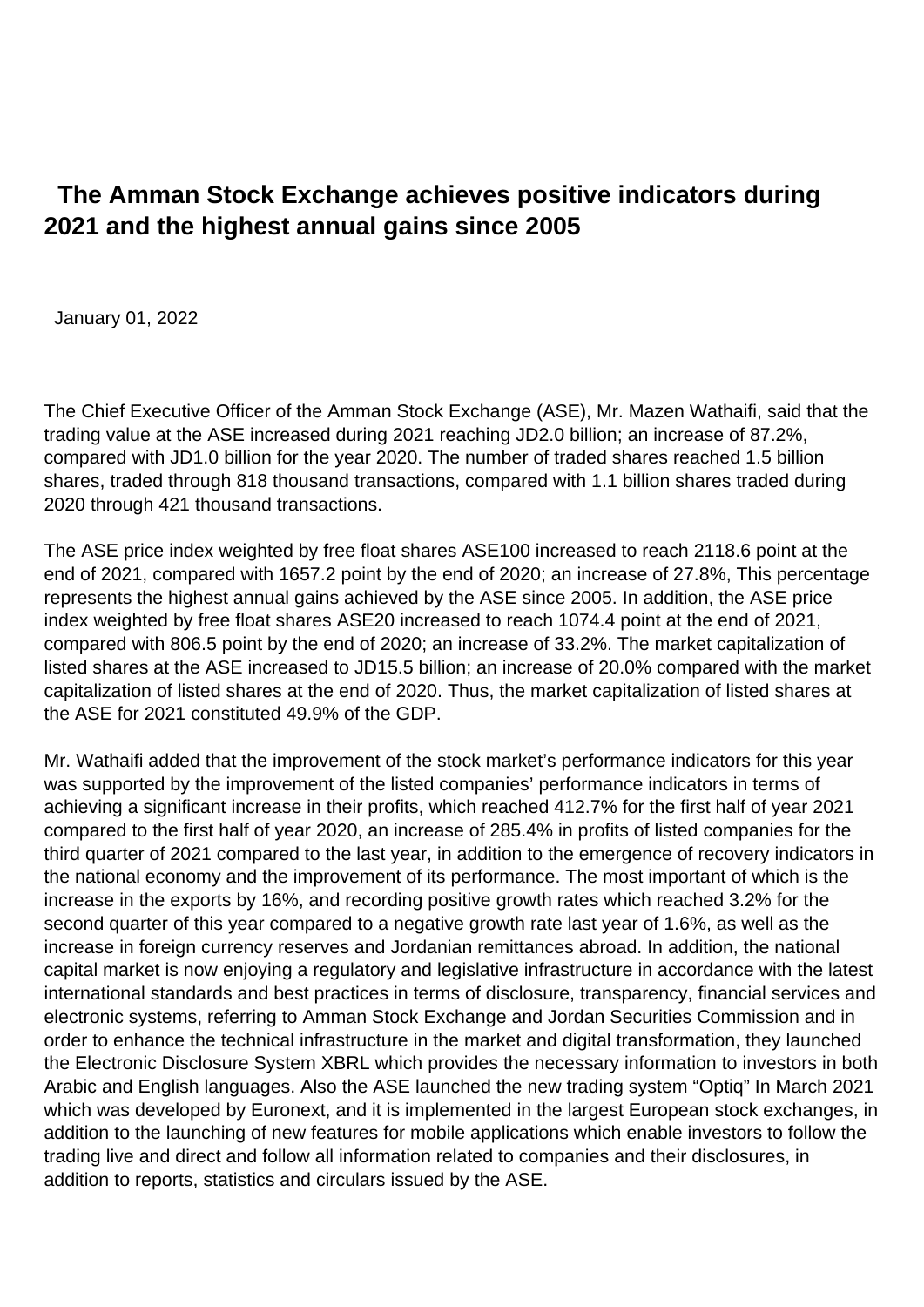## **The Amman Stock Exchange achieves positive indicators during 2021 and the highest annual gains since 2005**

January 01, 2022

The Chief Executive Officer of the Amman Stock Exchange (ASE), Mr. Mazen Wathaifi, said that the trading value at the ASE increased during 2021 reaching JD2.0 billion; an increase of 87.2%, compared with JD1.0 billion for the year 2020. The number of traded shares reached 1.5 billion shares, traded through 818 thousand transactions, compared with 1.1 billion shares traded during 2020 through 421 thousand transactions.

The ASE price index weighted by free float shares ASE100 increased to reach 2118.6 point at the end of 2021, compared with 1657.2 point by the end of 2020; an increase of 27.8%, This percentage represents the highest annual gains achieved by the ASE since 2005. In addition, the ASE price index weighted by free float shares ASE20 increased to reach 1074.4 point at the end of 2021, compared with 806.5 point by the end of 2020; an increase of 33.2%. The market capitalization of listed shares at the ASE increased to JD15.5 billion; an increase of 20.0% compared with the market capitalization of listed shares at the end of 2020. Thus, the market capitalization of listed shares at the ASE for 2021 constituted 49.9% of the GDP.

Mr. Wathaifi added that the improvement of the stock market's performance indicators for this year was supported by the improvement of the listed companies' performance indicators in terms of achieving a significant increase in their profits, which reached 412.7% for the first half of year 2021 compared to the first half of year 2020, an increase of 285.4% in profits of listed companies for the third quarter of 2021 compared to the last year, in addition to the emergence of recovery indicators in the national economy and the improvement of its performance. The most important of which is the increase in the exports by 16%, and recording positive growth rates which reached 3.2% for the second quarter of this year compared to a negative growth rate last year of 1.6%, as well as the increase in foreign currency reserves and Jordanian remittances abroad. In addition, the national capital market is now enjoying a regulatory and legislative infrastructure in accordance with the latest international standards and best practices in terms of disclosure, transparency, financial services and electronic systems, referring to Amman Stock Exchange and Jordan Securities Commission and in order to enhance the technical infrastructure in the market and digital transformation, they launched the Electronic Disclosure System XBRL which provides the necessary information to investors in both Arabic and English languages. Also the ASE launched the new trading system "Optiq" In March 2021 which was developed by Euronext, and it is implemented in the largest European stock exchanges, in addition to the launching of new features for mobile applications which enable investors to follow the trading live and direct and follow all information related to companies and their disclosures, in addition to reports, statistics and circulars issued by the ASE.